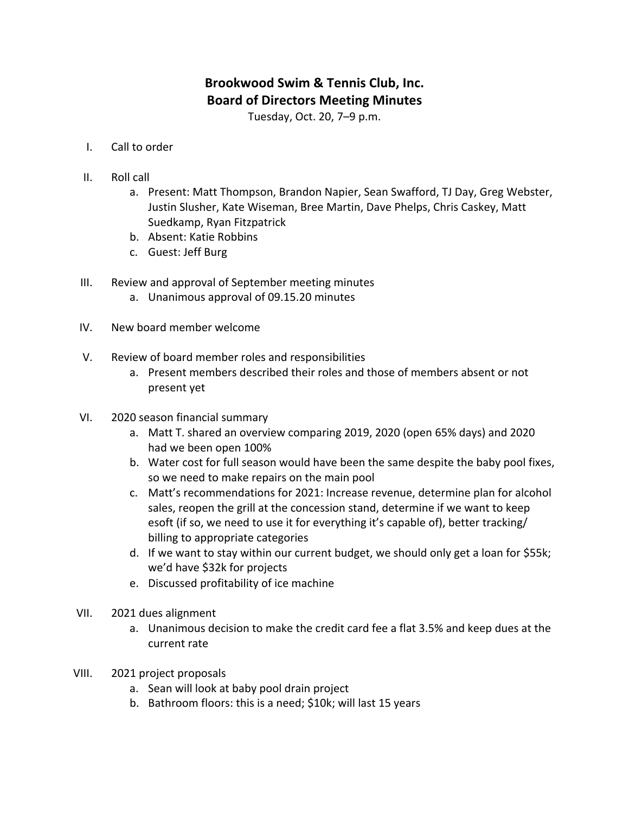## **Brookwood Swim & Tennis Club, Inc. Board of Directors Meeting Minutes**

Tuesday, Oct. 20, 7-9 p.m.

- I. Call to order
- II. Roll call
	- a. Present: Matt Thompson, Brandon Napier, Sean Swafford, TJ Day, Greg Webster, Justin Slusher, Kate Wiseman, Bree Martin, Dave Phelps, Chris Caskey, Matt Suedkamp, Ryan Fitzpatrick
	- b. Absent: Katie Robbins
	- c. Guest: Jeff Burg
- III. Review and approval of September meeting minutes
	- a. Unanimous approval of 09.15.20 minutes
- IV. New board member welcome
- V. Review of board member roles and responsibilities
	- a. Present members described their roles and those of members absent or not present yet
- VI. 2020 season financial summary
	- a. Matt T. shared an overview comparing 2019, 2020 (open 65% days) and 2020 had we been open 100%
	- b. Water cost for full season would have been the same despite the baby pool fixes, so we need to make repairs on the main pool
	- c. Matt's recommendations for 2021: Increase revenue, determine plan for alcohol sales, reopen the grill at the concession stand, determine if we want to keep esoft (if so, we need to use it for everything it's capable of), better tracking/ billing to appropriate categories
	- d. If we want to stay within our current budget, we should only get a loan for \$55k; we'd have \$32k for projects
	- e. Discussed profitability of ice machine
- VII. 2021 dues alignment
	- a. Unanimous decision to make the credit card fee a flat 3.5% and keep dues at the current rate
- VIII. 2021 project proposals
	- a. Sean will look at baby pool drain project
	- b. Bathroom floors: this is a need;  $$10k$ ; will last 15 years